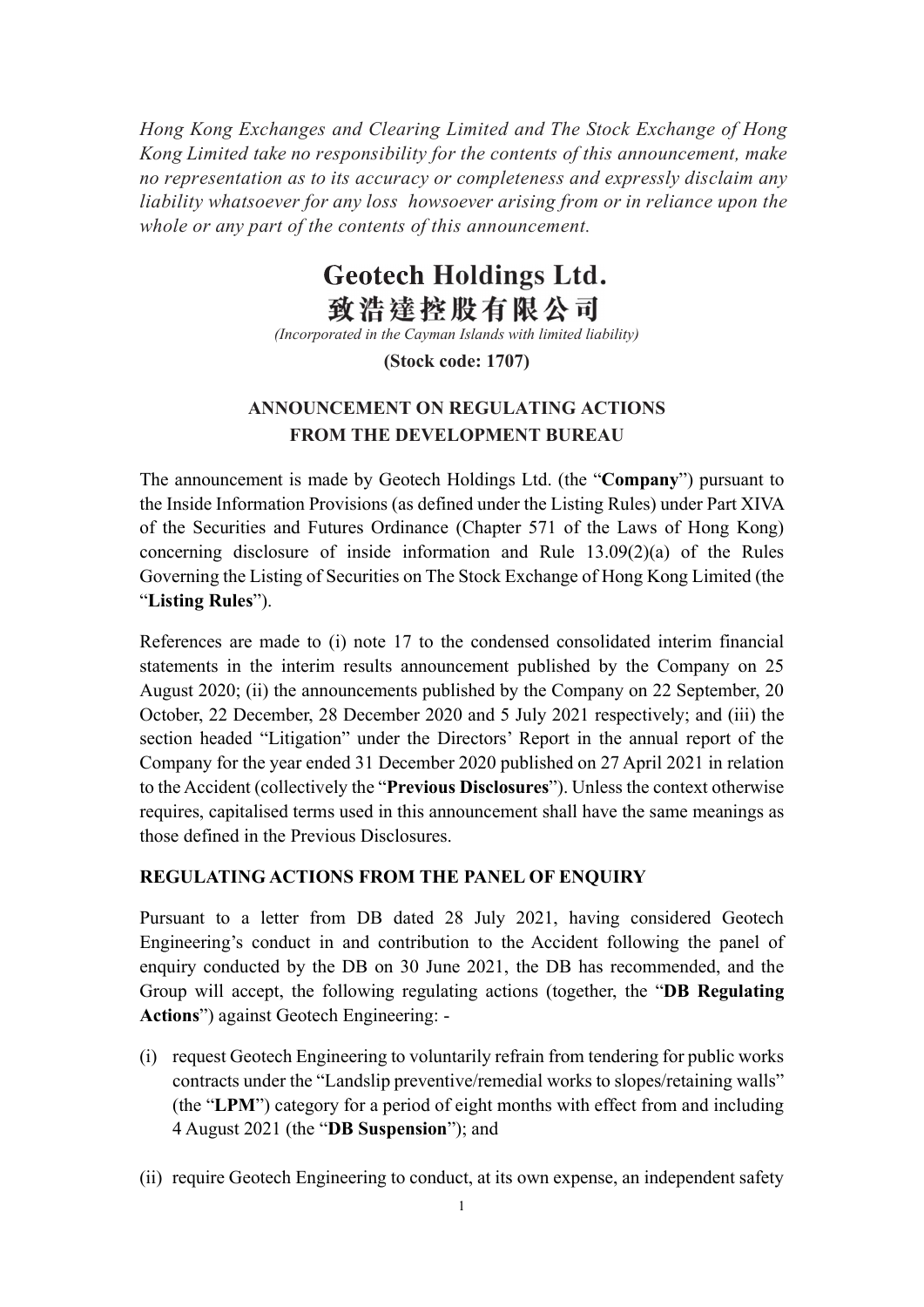Hong Kong Exchanges and Clearing Limited and The Stock Exchange of Hong Kong Limited take no responsibility for the contents of this announcement, make no representation as to its accuracy or completeness and expressly disclaim any liability whatsoever for any loss howsoever arising from or in reliance upon the whole or any part of the contents of this announcement.

## **Geotech Holdings Ltd.** 致浩達控股有限公司

(Incorporated in the Cayman Islands with limited liability)

(Stock code: 1707)

## ANNOUNCEMENT ON REGULATING ACTIONS FROM THE DEVELOPMENT BUREAU

The announcement is made by Geotech Holdings Ltd. (the "Company") pursuant to the Inside Information Provisions (as defined under the Listing Rules) under Part XIVA of the Securities and Futures Ordinance (Chapter 571 of the Laws of Hong Kong) concerning disclosure of inside information and Rule 13.09(2)(a) of the Rules Governing the Listing of Securities on The Stock Exchange of Hong Kong Limited (the "Listing Rules").

References are made to (i) note 17 to the condensed consolidated interim financial statements in the interim results announcement published by the Company on 25 August 2020; (ii) the announcements published by the Company on 22 September, 20 October, 22 December, 28 December 2020 and 5 July 2021 respectively; and (iii) the section headed "Litigation" under the Directors' Report in the annual report of the Company for the year ended 31 December 2020 published on 27 April 2021 in relation to the Accident (collectively the "Previous Disclosures"). Unless the context otherwise requires, capitalised terms used in this announcement shall have the same meanings as those defined in the Previous Disclosures.

## REGULATING ACTIONS FROM THE PANEL OF ENQUIRY

Pursuant to a letter from DB dated 28 July 2021, having considered Geotech Engineering's conduct in and contribution to the Accident following the panel of enquiry conducted by the DB on 30 June 2021, the DB has recommended, and the Group will accept, the following regulating actions (together, the "DB Regulating Actions") against Geotech Engineering: -

- (i) request Geotech Engineering to voluntarily refrain from tendering for public works contracts under the "Landslip preventive/remedial works to slopes/retaining walls" (the "LPM") category for a period of eight months with effect from and including 4 August 2021 (the "DB Suspension"); and
- (ii) require Geotech Engineering to conduct, at its own expense, an independent safety